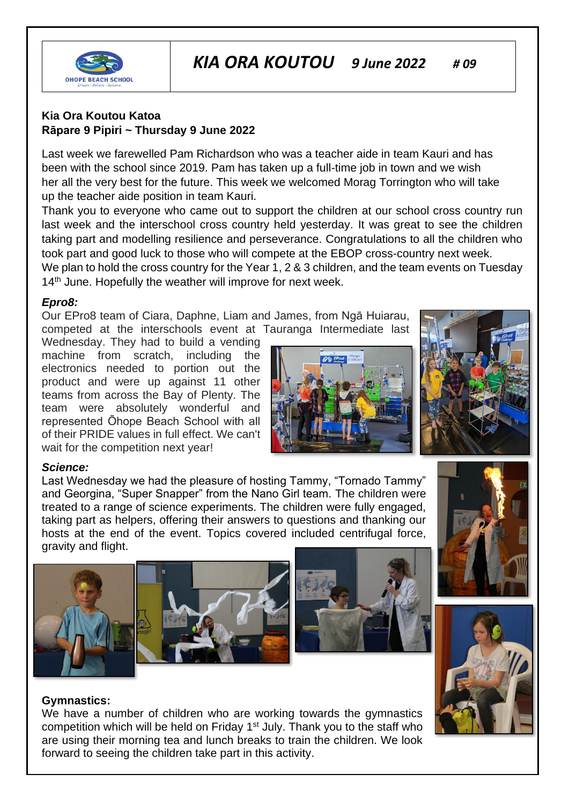

# *KIA ORA KOUTOU 9 June 2022 # 09*

## **Kia Ora Koutou Katoa Rāpare 9 Pipiri ~ Thursday 9 June 2022**

Last week we farewelled Pam Richardson who was a teacher aide in team Kauri and has been with the school since 2019. Pam has taken up a full-time job in town and we wish her all the very best for the future. This week we welcomed Morag Torrington who will take up the teacher aide position in team Kauri.

Thank you to everyone who came out to support the children at our school cross country run last week and the interschool cross country held yesterday. It was great to see the children taking part and modelling resilience and perseverance. Congratulations to all the children who took part and good luck to those who will compete at the EBOP cross-country next week.

We plan to hold the cross country for the Year 1, 2 & 3 children, and the team events on Tuesday 14<sup>th</sup> June. Hopefully the weather will improve for next week.

#### *Epro8:*

Our EPro8 team of Ciara, Daphne, Liam and James, from Ngā Huiarau, competed at the interschools event at Tauranga Intermediate last

Wednesday. They had to build a vending machine from scratch, including the electronics needed to portion out the product and were up against 11 other teams from across the Bay of Plenty. The team were absolutely wonderful and represented Ōhope Beach School with all of their PRIDE values in full effect. We can't wait for the competition next year!





## *Science:*

Last Wednesday we had the pleasure of hosting Tammy, "Tornado Tammy" and Georgina, "Super Snapper" from the Nano Girl team. The children were treated to a range of science experiments. The children were fully engaged, taking part as helpers, offering their answers to questions and thanking our hosts at the end of the event. Topics covered included centrifugal force, gravity and flight.





#### **Gymnastics:**

We have a number of children who are working towards the gymnastics competition which will be held on Friday 1st July. Thank you to the staff who are using their morning tea and lunch breaks to train the children. We look forward to seeing the children take part in this activity.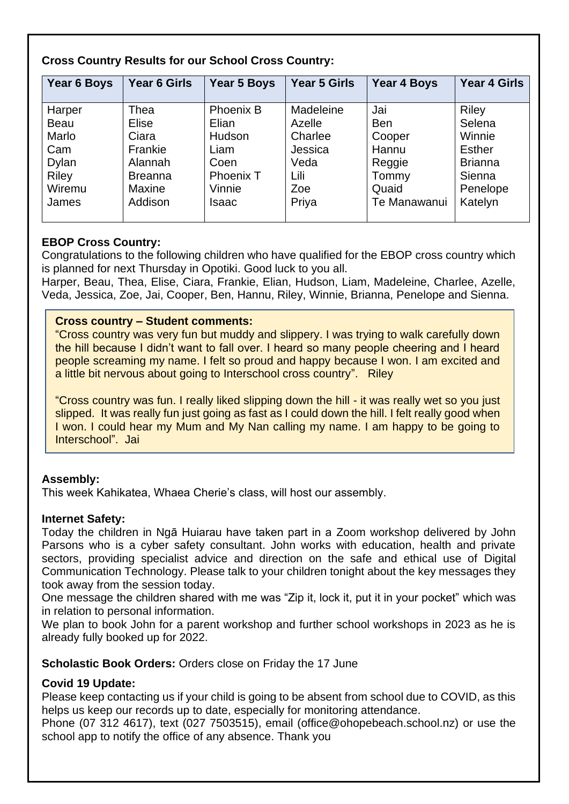| Year 6 Boys                                                                       | Year 6 Girls                                                                                      | Year 5 Boys                                                                                       | <b>Year 5 Girls</b>                                                       | <b>Year 4 Boys</b>                                                               | <b>Year 4 Girls</b>                                                                                  |
|-----------------------------------------------------------------------------------|---------------------------------------------------------------------------------------------------|---------------------------------------------------------------------------------------------------|---------------------------------------------------------------------------|----------------------------------------------------------------------------------|------------------------------------------------------------------------------------------------------|
| Harper<br><b>Beau</b><br>Marlo<br>Cam<br>Dylan<br><b>Riley</b><br>Wiremu<br>James | Thea<br><b>Elise</b><br>Ciara<br>Frankie<br>Alannah<br><b>Breanna</b><br><b>Maxine</b><br>Addison | <b>Phoenix B</b><br>Elian<br>Hudson<br>Liam<br>Coen<br><b>Phoenix T</b><br>Vinnie<br><b>Isaac</b> | Madeleine<br>Azelle<br>Charlee<br>Jessica<br>Veda<br>Lili<br>Zoe<br>Priya | Jai<br><b>Ben</b><br>Cooper<br>Hannu<br>Reggie<br>Tommy<br>Quaid<br>Te Manawanui | <b>Riley</b><br>Selena<br>Winnie<br><b>Esther</b><br><b>Brianna</b><br>Sienna<br>Penelope<br>Katelyn |
|                                                                                   |                                                                                                   |                                                                                                   |                                                                           |                                                                                  |                                                                                                      |

## **Cross Country Results for our School Cross Country:**

## **EBOP Cross Country:**

Congratulations to the following children who have qualified for the EBOP cross country which is planned for next Thursday in Opotiki. Good luck to you all.

Harper, Beau, Thea, Elise, Ciara, Frankie, Elian, Hudson, Liam, Madeleine, Charlee, Azelle, Veda, Jessica, Zoe, Jai, Cooper, Ben, Hannu, Riley, Winnie, Brianna, Penelope and Sienna.

## **Cross country – Student comments:**

"Cross country was very fun but muddy and slippery. I was trying to walk carefully down the hill because I didn't want to fall over. I heard so many people cheering and I heard people screaming my name. I felt so proud and happy because I won. I am excited and a little bit nervous about going to Interschool cross country". Riley

"Cross country was fun. I really liked slipping down the hill - it was really wet so you just slipped. It was really fun just going as fast as I could down the hill. I felt really good when I won. I could hear my Mum and My Nan calling my name. I am happy to be going to Interschool". Jai

## **Assembly:**

This week Kahikatea, Whaea Cherie's class, will host our assembly.

## **Internet Safety:**

Today the children in Ngā Huiarau have taken part in a Zoom workshop delivered by John Parsons who is a cyber safety consultant. John works with education, health and private sectors, providing specialist advice and direction on the safe and ethical use of Digital Communication Technology. Please talk to your children tonight about the key messages they took away from the session today.

One message the children shared with me was "Zip it, lock it, put it in your pocket" which was in relation to personal information.

We plan to book John for a parent workshop and further school workshops in 2023 as he is already fully booked up for 2022.

**Scholastic Book Orders:** Orders close on Friday the 17 June

## **Covid 19 Update:**

Please keep contacting us if your child is going to be absent from school due to COVID, as this helps us keep our records up to date, especially for monitoring attendance.

Phone (07 312 4617), text (027 7503515), email (office@ohopebeach.school.nz) or use the school app to notify the office of any absence. Thank you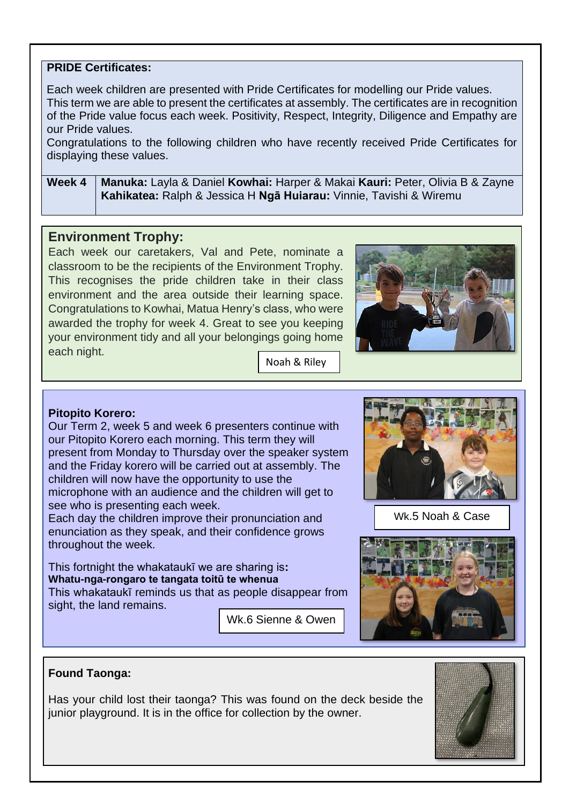## **PRIDE Certificates:**

Each week children are presented with Pride Certificates for modelling our Pride values. This term we are able to present the certificates at assembly. The certificates are in recognition of the Pride value focus each week. Positivity, Respect, Integrity, Diligence and Empathy are our Pride values.

Congratulations to the following children who have recently received Pride Certificates for displaying these values.

**Week 4 Manuka:** Layla & Daniel **Kowhai:** Harper & Makai **Kauri:** Peter, Olivia B & Zayne **Kahikatea:** Ralph & Jessica H **Ngā Huiarau:** Vinnie, Tavishi & Wiremu

## **Environment Trophy:**

Each week our caretakers, Val and Pete, nominate a classroom to be the recipients of the Environment Trophy. This recognises the pride children take in their class environment and the area outside their learning space. Congratulations to Kowhai, Matua Henry's class, who were awarded the trophy for week 4. Great to see you keeping your environment tidy and all your belongings going home each night.



Noah & Riley

## **Pitopito Korero:**

Our Term 2, week 5 and week 6 presenters continue with our Pitopito Korero each morning. This term they will present from Monday to Thursday over the speaker system and the Friday korero will be carried out at assembly. The children will now have the opportunity to use the microphone with an audience and the children will get to see who is presenting each week.

Each day the children improve their pronunciation and enunciation as they speak, and their confidence grows throughout the week.

This fortnight the whakataukī we are sharing is**: Whatu-nga-rongaro te tangata toitū te whenua** This whakataukī reminds us that as people disappear from sight, the land remains.

Wk.6 Sienne & Owen



Wk.5 Noah & Case



## **Found Taonga:**

Has your child lost their taonga? This was found on the deck beside the junior playground. It is in the office for collection by the owner.

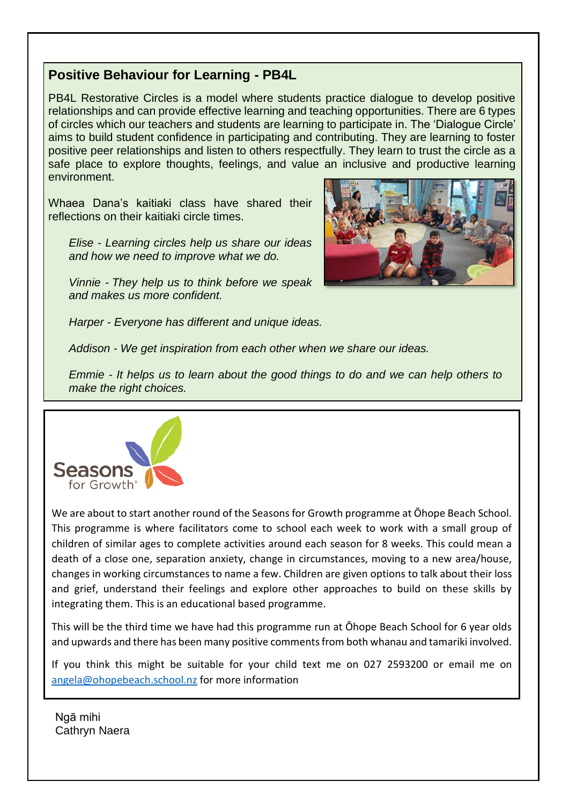## **Positive Behaviour for Learning - PB4L**

PB4L Restorative Circles is a model where students practice dialogue to develop positive relationships and can provide effective learning and teaching opportunities. There are 6 types of circles which our teachers and students are learning to participate in. The 'Dialogue Circle' aims to build student confidence in participating and contributing. They are learning to foster positive peer relationships and listen to others respectfully. They learn to trust the circle as a safe place to explore thoughts, feelings, and value an inclusive and productive learning environment.

Whaea Dana's kaitiaki class have shared their reflections on their kaitiaki circle times.

*Elise - Learning circles help us share our ideas and how we need to improve what we do.*

*Vinnie - They help us to think before we speak and makes us more confident.*



*Harper - Everyone has different and unique ideas.*

*Addison - We get inspiration from each other when we share our ideas.*

*Emmie - It helps us to learn about the good things to do and we can help others to make the right choices.* 



We are about to start another round of the Seasons for Growth programme at Ōhope Beach School. This programme is where facilitators come to school each week to work with a small group of children of similar ages to complete activities around each season for 8 weeks. This could mean a death of a close one, separation anxiety, change in circumstances, moving to a new area/house, changes in working circumstances to name a few. Children are given options to talk about their loss and grief, understand their feelings and explore other approaches to build on these skills by integrating them. This is an educational based programme.

This will be the third time we have had this programme run at Ōhope Beach School for 6 year olds and upwards and there has been many positive comments from both whanau and tamariki involved.

If you think this might be suitable for your child text me on 027 2593200 or email me on [angela@ohopebeach.school.nz](mailto:angela@ohopebeach.school.nz) for more information

Ngā mihi Cathryn Naera